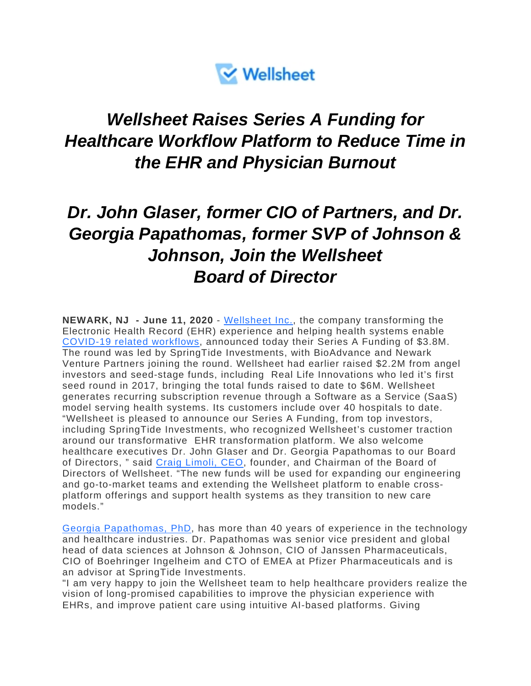

## *Wellsheet Raises Series A Funding for Healthcare Workflow Platform to Reduce Time in the EHR and Physician Burnout*

## *Dr. John Glaser, former CIO of Partners, and Dr. Georgia Papathomas, former SVP of Johnson & Johnson, Join the Wellsheet Board of Director*

**NEWARK, NJ - June 11, 2020** - [Wellsheet Inc.,](https://www.wellsheet.com/) the company transforming the Electronic Health Record (EHR) experience and helping health systems enable [COVID-19 related workflows,](https://www.wellsheet.com/covid-19) announced today their Series A Funding of \$3.8M. The round was led by SpringTide Investments, with BioAdvance and Newark Venture Partners joining the round. Wellsheet had earlier raised \$2.2M from angel investors and seed-stage funds, including Real Life Innovations who led it's first seed round in 2017, bringing the total funds raised to date to \$6M. Wellsheet generates recurring subscription revenue through a Software as a Service (SaaS) model serving health systems. Its customers include over 40 hospitals to date. "Wellsheet is pleased to announce our Series A Funding, from top investors, including SpringTide Investments, who recognized Wellsheet's customer traction around our transformative EHR transformation platform. We also welcome healthcare executives Dr. John Glaser and Dr. Georgia Papathomas to our Board of Directors, " said [Craig Limoli, CEO,](https://www.linkedin.com/in/craig-limoli) founder, and Chairman of the Board of Directors of Wellsheet. "The new funds will be used for expanding our engineering and go-to-market teams and extending the Wellsheet platform to enable crossplatform offerings and support health systems as they transition to new care models."

[Georgia Papathomas, PhD,](https://www.linkedin.com/in/georgiapapathomas/) has more than 40 years of experience in the technology and healthcare industries. Dr. Papathomas was senior vice president and global head of data sciences at Johnson & Johnson, CIO of Janssen Pharmaceuticals, CIO of Boehringer Ingelheim and CTO of EMEA at Pfizer Pharmaceuticals and is an advisor at SpringTide Investments.

"I am very happy to join the Wellsheet team to help healthcare providers realize the vision of long-promised capabilities to improve the physician experience with EHRs, and improve patient care using intuitive AI-based platforms. Giving